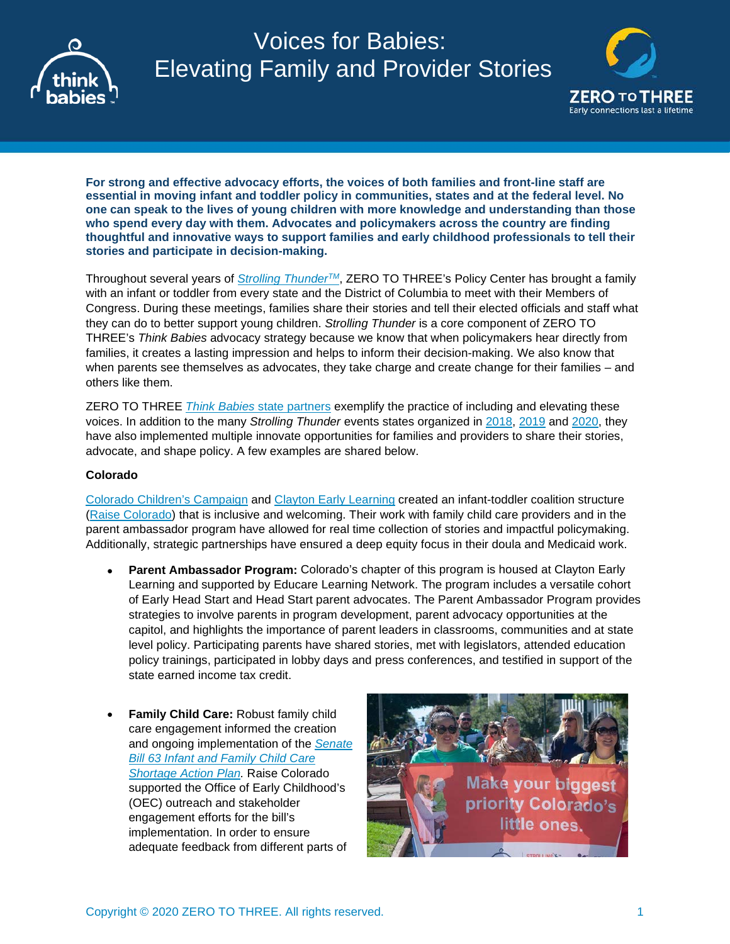

# Voices for Babies: Elevating Family and Provider Stories



**For strong and effective advocacy efforts, the voices of both families and front-line staff are essential in moving infant and toddler policy in communities, states and at the federal level. No one can speak to the lives of young children with more knowledge and understanding than those who spend every day with them. Advocates and policymakers across the country are finding thoughtful and innovative ways to support families and early childhood professionals to tell their stories and participate in decision-making.**

Throughout several years of *[Strolling ThunderTM](https://www.thinkbabies.org/strollingthunder/)*, ZERO TO THREE's Policy Center has brought a family with an infant or toddler from every state and the District of Columbia to meet with their Members of Congress. During these meetings, families share their stories and tell their elected officials and staff what they can do to better support young children. *Strolling Thunder* is a core component of ZERO TO THREE's *Think Babies* advocacy strategy because we know that when policymakers hear directly from families, it creates a lasting impression and helps to inform their decision-making. We also know that when parents see themselves as advocates, they take charge and create change for their families – and others like them.

ZERO TO THREE *Think Babies* [state partners](https://www.thinkbabies.org/about/state-partners/) exemplify the practice of including and elevating these voices. In addition to the many *Strolling Thunder* events states organized in [2018,](https://www.zerotothree.org/resources/2277-state-strolling-thunder-events-in-2018-created-a-nationwide-drumbeat-for-strong-infant-and-toddler-policies) [2019](https://www.zerotothree.org/resources/2792-states-push-for-change-with-2019-strolling-thunder-events) and [2020,](https://www.zerotothree.org/resources/3707-virtual-and-in-person-2020-state-strolling-thunder-events-rolled-and-rumbled-across-the-country) they have also implemented multiple innovate opportunities for families and providers to share their stories, advocate, and shape policy. A few examples are shared below.

# **Colorado**

[Colorado Children's Campaign](https://www.coloradokids.org/) and [Clayton Early Learning](http://www.claytonearlylearning.org/) created an infant-toddler coalition structure [\(Raise Colorado\)](https://raisecolorado.org/) that is inclusive and welcoming. Their work with family child care providers and in the parent ambassador program have allowed for real time collection of stories and impactful policymaking. Additionally, strategic partnerships have ensured a deep equity focus in their doula and Medicaid work.

- **Parent Ambassador Program:** Colorado's chapter of this program is housed at Clayton Early Learning and supported by Educare Learning Network. The program includes a versatile cohort of Early Head Start and Head Start parent advocates. The Parent Ambassador Program provides strategies to involve parents in program development, parent advocacy opportunities at the capitol, and highlights the importance of parent leaders in classrooms, communities and at state level policy. Participating parents have shared stories, met with legislators, attended education policy trainings, participated in lobby days and press conferences, and testified in support of the state earned income tax credit.
- **Family Child Care:** Robust family child care engagement informed the creation and ongoing implementation of the *[Senate](http://coloradoofficeofearlychildhood.force.com/oec/OEC_Partners?p=Partners&s=SB63&lang=en)  [Bill 63 Infant and Family Child Care](http://coloradoofficeofearlychildhood.force.com/oec/OEC_Partners?p=Partners&s=SB63&lang=en)  [Shortage Action Plan.](http://coloradoofficeofearlychildhood.force.com/oec/OEC_Partners?p=Partners&s=SB63&lang=en)* Raise Colorado supported the Office of Early Childhood's (OEC) outreach and stakeholder engagement efforts for the bill's implementation. In order to ensure adequate feedback from different parts of

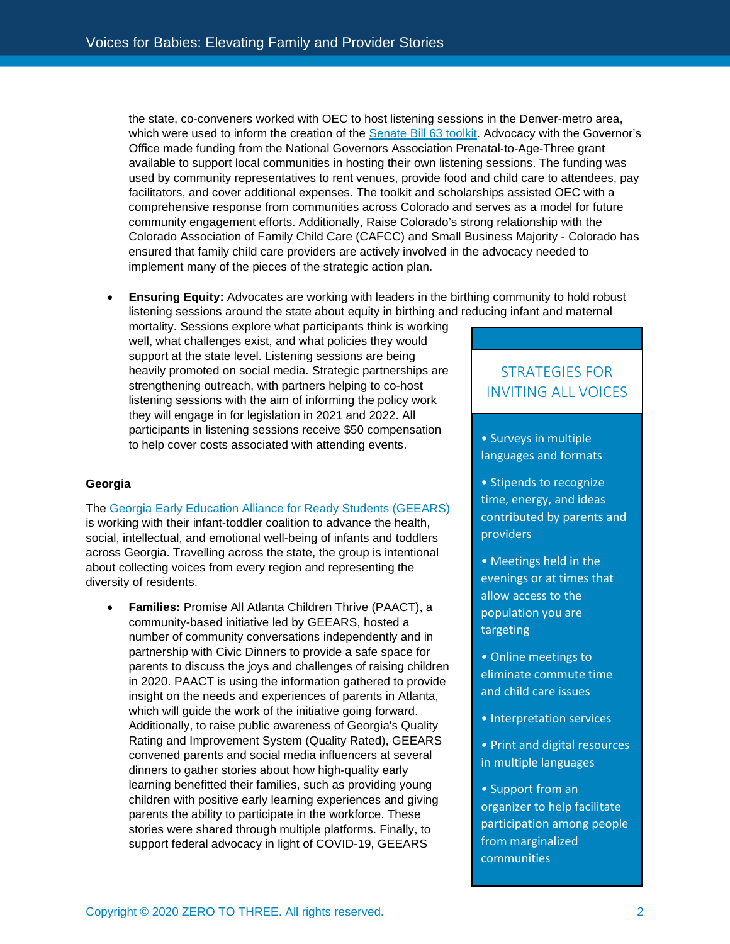the state, co-conveners worked with OEC to host listening sessions in the Denver-metro area, which were used to inform the creation of the [Senate Bill 63 toolkit.](https://static1.squarespace.com/static/5679be9605f8e24bd8be467a/t/5d65889483b2ac0001e63a17/1566935193093/SB63+Toolkit.pdf) Advocacy with the Governor's Office made funding from the National Governors Association Prenatal-to-Age-Three grant available to support local communities in hosting their own listening sessions. The funding was used by community representatives to rent venues, provide food and child care to attendees, pay facilitators, and cover additional expenses. The toolkit and scholarships assisted OEC with a comprehensive response from communities across Colorado and serves as a model for future community engagement efforts. Additionally, Raise Colorado's strong relationship with the Colorado Association of Family Child Care (CAFCC) and Small Business Majority - Colorado has ensured that family child care providers are actively involved in the advocacy needed to implement many of the pieces of the strategic action plan.

• **Ensuring Equity:** Advocates are working with leaders in the birthing community to hold robust listening sessions around the state about equity in birthing and reducing infant and maternal

mortality. Sessions explore what participants think is working well, what challenges exist, and what policies they would support at the state level. Listening sessions are being heavily promoted on social media. Strategic partnerships are strengthening outreach, with partners helping to co-host listening sessions with the aim of informing the policy work they will engage in for legislation in 2021 and 2022. All participants in listening sessions receive \$50 compensation to help cover costs associated with attending events.

## **Georgia**

The [Georgia Early Education Alliance for Ready Students \(GEEARS\)](https://geears.org/) is working with their infant-toddler coalition to advance the health, social, intellectual, and emotional well-being of infants and toddlers across Georgia. Travelling across the state, the group is intentional about collecting voices from every region and representing the diversity of residents.

• **Families:** Promise All Atlanta Children Thrive (PAACT), a community-based initiative led by GEEARS, hosted a number of community conversations independently and in partnership with Civic Dinners to provide a safe space for parents to discuss the joys and challenges of raising children in 2020. PAACT is using the information gathered to provide insight on the needs and experiences of parents in Atlanta, which will quide the work of the initiative going forward. Additionally, to raise public awareness of Georgia's Quality Rating and Improvement System (Quality Rated), GEEARS convened parents and social media influencers at several dinners to gather stories about how high-quality early learning benefitted their families, such as providing young children with positive early learning experiences and giving parents the ability to participate in the workforce. These stories were shared through multiple platforms. Finally, to support federal advocacy in light of COVID-19, GEEARS

# STRATEGIES FOR INVITING ALL VOICES

- Surveys in multiple languages and formats
- Stipends to recognize time, energy, and ideas contributed by parents and providers
- Meetings held in the evenings or at times that allow access to the population you are targeting
- Online meetings to eliminate commute time and child care issues
- Interpretation services
- Print and digital resources in multiple languages
- Support from an organizer to help facilitate participation among people from marginalized communities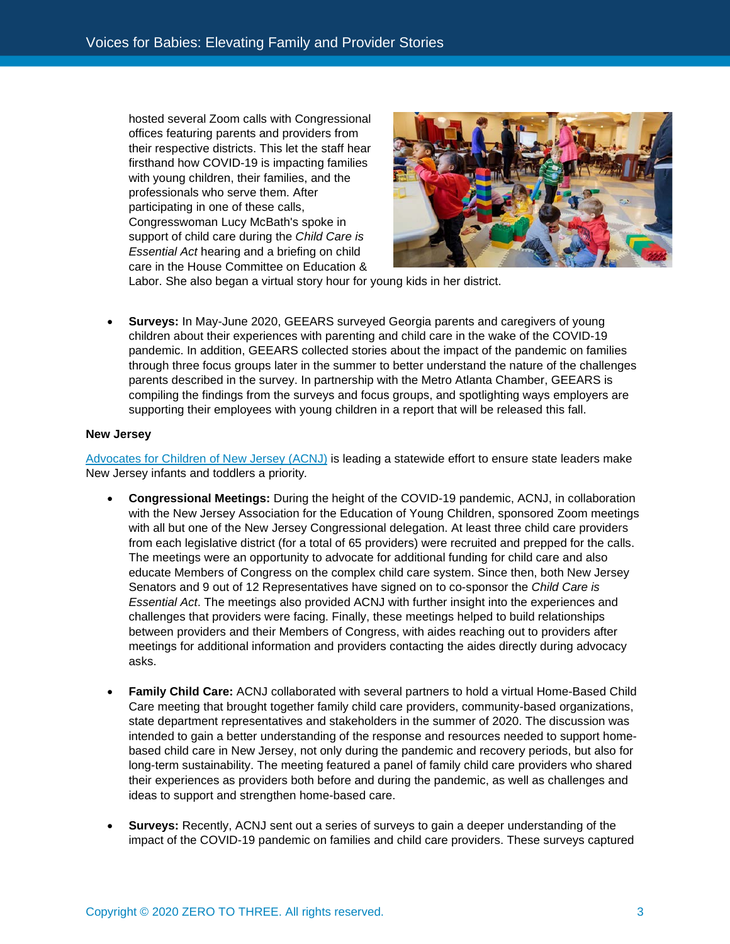hosted several Zoom calls with Congressional offices featuring parents and providers from their respective districts. This let the staff hear firsthand how COVID-19 is impacting families with young children, their families, and the professionals who serve them. After participating in one of these calls, Congresswoman Lucy McBath's spoke in support of child care during the *Child Care is Essential Act* hearing and a briefing on child care in the House Committee on Education &



Labor. She also began a virtual story hour for young kids in her district.

• **Surveys:** In May-June 2020, GEEARS surveyed Georgia parents and caregivers of young children about their experiences with parenting and child care in the wake of the COVID-19 pandemic. In addition, GEEARS collected stories about the impact of the pandemic on families through three focus groups later in the summer to better understand the nature of the challenges parents described in the survey. In partnership with the Metro Atlanta Chamber, GEEARS is compiling the findings from the surveys and focus groups, and spotlighting ways employers are supporting their employees with young children in a report that will be released this fall.

#### **New Jersey**

[Advocates for Children of New Jersey](https://acnj.org/) (ACNJ) is leading a statewide effort to ensure state leaders make New Jersey infants and toddlers a priority*.*

- **Congressional Meetings:** During the height of the COVID-19 pandemic, ACNJ, in collaboration with the New Jersey Association for the Education of Young Children, sponsored Zoom meetings with all but one of the New Jersey Congressional delegation. At least three child care providers from each legislative district (for a total of 65 providers) were recruited and prepped for the calls. The meetings were an opportunity to advocate for additional funding for child care and also educate Members of Congress on the complex child care system. Since then, both New Jersey Senators and 9 out of 12 Representatives have signed on to co-sponsor the *Child Care is Essential Act*. The meetings also provided ACNJ with further insight into the experiences and challenges that providers were facing. Finally, these meetings helped to build relationships between providers and their Members of Congress, with aides reaching out to providers after meetings for additional information and providers contacting the aides directly during advocacy asks.
- **Family Child Care:** ACNJ collaborated with several partners to hold a virtual Home-Based Child Care meeting that brought together family child care providers, community-based organizations, state department representatives and stakeholders in the summer of 2020. The discussion was intended to gain a better understanding of the response and resources needed to support homebased child care in New Jersey, not only during the pandemic and recovery periods, but also for long-term sustainability. The meeting featured a panel of family child care providers who shared their experiences as providers both before and during the pandemic, as well as challenges and ideas to support and strengthen home-based care.
- **Surveys:** Recently, ACNJ sent out a series of surveys to gain a deeper understanding of the impact of the COVID-19 pandemic on families and child care providers. These surveys captured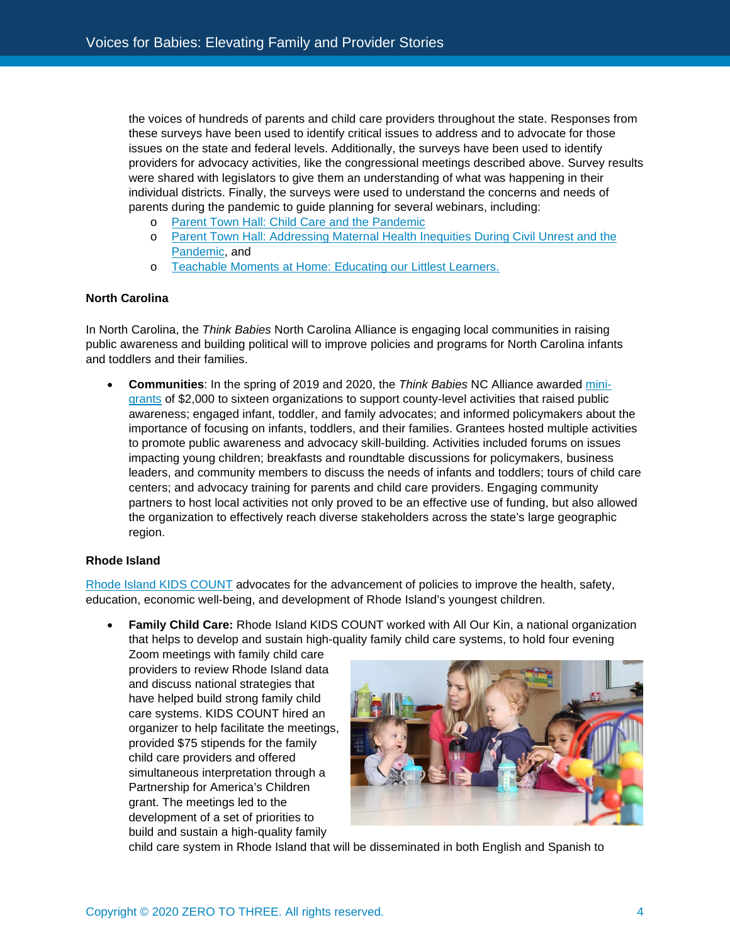the voices of hundreds of parents and child care providers throughout the state. Responses from these surveys have been used to identify critical issues to address and to advocate for those issues on the state and federal levels. Additionally, the surveys have been used to identify providers for advocacy activities, like the congressional meetings described above. Survey results were shared with legislators to give them an understanding of what was happening in their individual districts. Finally, the surveys were used to understand the concerns and needs of parents during the pandemic to guide planning for several webinars, including:

- o [Parent Town Hall: Child Care and the Pandemic](https://nam12.safelinks.protection.outlook.com/?url=https%3A%2F%2Facnj.org%2F15269-2%2F&data=02%7C01%7CKCoburn%40zerotothree.org%7Cf566913dd5744b6d3a3908d8751c7f2f%7C6fcec4dc506843d5af7b80ad58da1056%7C0%7C1%7C637388112548982857&sdata=gElI%2F3N7Bapi3n%2FEltozrFYgZT%2FE5CwZxSkBdurA6l4%3D&reserved=0)
- o [Parent Town Hall: Addressing Maternal Health Inequities During Civil Unrest and the](https://nam12.safelinks.protection.outlook.com/?url=https%3A%2F%2Facnj.org%2Faddressing-maternal-health-inequities-during-civic-unrest-and-the-pandemic%2F&data=02%7C01%7CKCoburn%40zerotothree.org%7Cf566913dd5744b6d3a3908d8751c7f2f%7C6fcec4dc506843d5af7b80ad58da1056%7C0%7C1%7C637388112548982857&sdata=W3viKYfLDE6b6IgKLFnS8UnvVdhFrNCKV5pS4arc4bY%3D&reserved=0)  [Pandemic,](https://nam12.safelinks.protection.outlook.com/?url=https%3A%2F%2Facnj.org%2Faddressing-maternal-health-inequities-during-civic-unrest-and-the-pandemic%2F&data=02%7C01%7CKCoburn%40zerotothree.org%7Cf566913dd5744b6d3a3908d8751c7f2f%7C6fcec4dc506843d5af7b80ad58da1056%7C0%7C1%7C637388112548982857&sdata=W3viKYfLDE6b6IgKLFnS8UnvVdhFrNCKV5pS4arc4bY%3D&reserved=0) and
- o [Teachable Moments at Home: Educating our Littlest Learners.](https://nam12.safelinks.protection.outlook.com/?url=https%3A%2F%2Facnj.org%2Fteachable-moments-at-home-educating-our-littlest-learners-recording%2F&data=02%7C01%7CKCoburn%40zerotothree.org%7Cf566913dd5744b6d3a3908d8751c7f2f%7C6fcec4dc506843d5af7b80ad58da1056%7C0%7C1%7C637388112548992858&sdata=2FO4Yn23v0CXqJa1%2B0En6arQBokPVwEyLGlIN0arnG0%3D&reserved=0)

## **North Carolina**

In North Carolina, the *Think Babies* North Carolina Alliance is engaging local communities in raising public awareness and building political will to improve policies and programs for North Carolina infants and toddlers and their families.

• **Communities**: In the spring of 2019 and 2020, the *Think Babies* NC Alliance awarded [mini](https://www.ncearlyeducationcoalition.org/think-babies-nc/think-babies-nc-community-partners/)[grants](https://www.ncearlyeducationcoalition.org/think-babies-nc/think-babies-nc-community-partners/) of \$2,000 to sixteen organizations to support county-level activities that raised public awareness; engaged infant, toddler, and family advocates; and informed policymakers about the importance of focusing on infants, toddlers, and their families. Grantees hosted multiple activities to promote public awareness and advocacy skill-building. Activities included forums on issues impacting young children; breakfasts and roundtable discussions for policymakers, business leaders, and community members to discuss the needs of infants and toddlers; tours of child care centers; and advocacy training for parents and child care providers. Engaging community partners to host local activities not only proved to be an effective use of funding, but also allowed the organization to effectively reach diverse stakeholders across the state's large geographic region.

## **Rhode Island**

[Rhode Island KIDS COUNT](http://www.rikidscount.org/) advocates for the advancement of policies to improve the health, safety, education, economic well-being, and development of Rhode Island's youngest children.

• **Family Child Care:** Rhode Island KIDS COUNT worked with All Our Kin, a national organization that helps to develop and sustain high-quality family child care systems, to hold four evening

Zoom meetings with family child care providers to review Rhode Island data and discuss national strategies that have helped build strong family child care systems. KIDS COUNT hired an organizer to help facilitate the meetings, provided \$75 stipends for the family child care providers and offered simultaneous interpretation through a Partnership for America's Children grant. The meetings led to the development of a set of priorities to build and sustain a high-quality family



child care system in Rhode Island that will be disseminated in both English and Spanish to